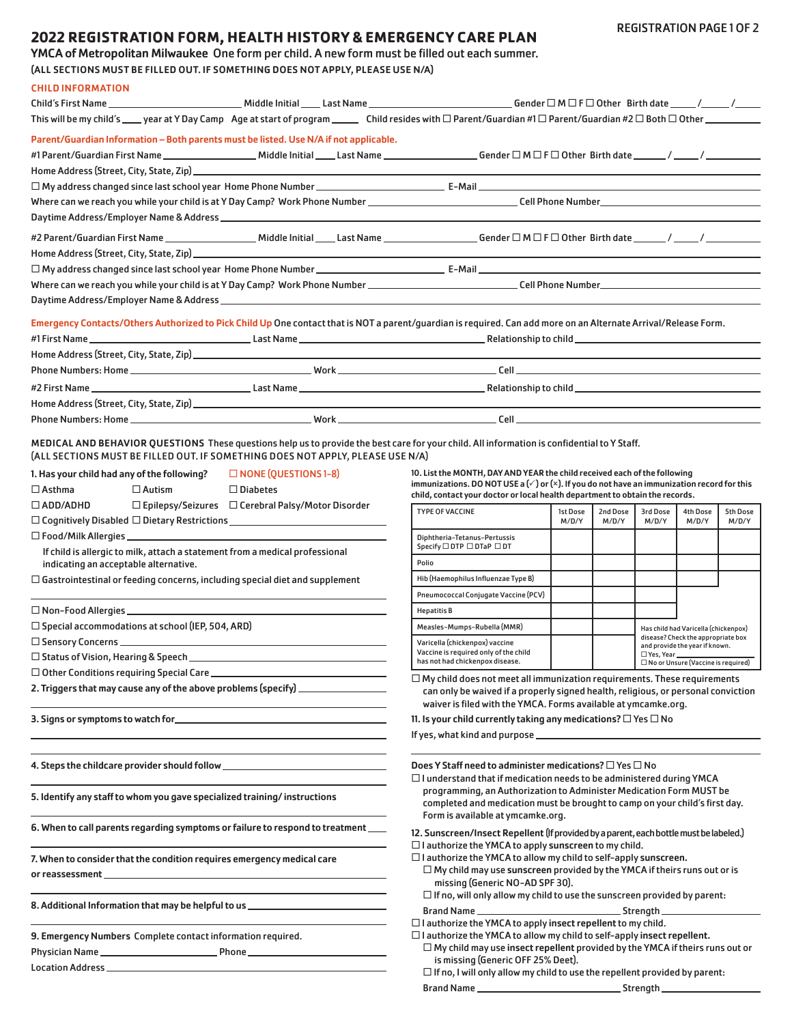# **2022 REGISTRATION FORM, HEALTH HISTORY & EMERGENCY CARE PLAN**

YMCA of Metropolitan Milwaukee One form per child. A new form must be filled out each summer.

(ALL SECTIONS MUST BE FILLED OUT. IF SOMETHING DOES NOT APPLY, PLEASE USE N/A)

CHILD INFORMATION

| This will be my child's ____ year at Y Day Camp Age at start of program ______ Child resides with □ Parent/Guardian #1 □ Parent/Guardian #2 □ Both □ Other ___________ |                             |                                                                                                                                                                                         |          |          |                  |                                                                      |          |
|------------------------------------------------------------------------------------------------------------------------------------------------------------------------|-----------------------------|-----------------------------------------------------------------------------------------------------------------------------------------------------------------------------------------|----------|----------|------------------|----------------------------------------------------------------------|----------|
| Parent/Guardian Information - Both parents must be listed. Use N/A if not applicable.                                                                                  |                             |                                                                                                                                                                                         |          |          |                  |                                                                      |          |
|                                                                                                                                                                        |                             |                                                                                                                                                                                         |          |          |                  |                                                                      |          |
|                                                                                                                                                                        |                             |                                                                                                                                                                                         |          |          |                  |                                                                      |          |
|                                                                                                                                                                        |                             |                                                                                                                                                                                         |          |          |                  |                                                                      |          |
|                                                                                                                                                                        |                             |                                                                                                                                                                                         |          |          |                  |                                                                      |          |
|                                                                                                                                                                        |                             |                                                                                                                                                                                         |          |          |                  |                                                                      |          |
|                                                                                                                                                                        |                             |                                                                                                                                                                                         |          |          |                  |                                                                      |          |
|                                                                                                                                                                        |                             |                                                                                                                                                                                         |          |          |                  |                                                                      |          |
|                                                                                                                                                                        |                             |                                                                                                                                                                                         |          |          |                  |                                                                      |          |
|                                                                                                                                                                        |                             |                                                                                                                                                                                         |          |          |                  |                                                                      |          |
|                                                                                                                                                                        |                             |                                                                                                                                                                                         |          |          |                  |                                                                      |          |
| Emergency Contacts/Others Authorized to Pick Child Up One contact that is NOT a parent/guardian is required. Can add more on an Alternate Arrival/Release Form.        |                             |                                                                                                                                                                                         |          |          |                  |                                                                      |          |
|                                                                                                                                                                        |                             |                                                                                                                                                                                         |          |          |                  |                                                                      |          |
|                                                                                                                                                                        |                             |                                                                                                                                                                                         |          |          |                  |                                                                      |          |
|                                                                                                                                                                        |                             |                                                                                                                                                                                         |          |          |                  |                                                                      |          |
|                                                                                                                                                                        |                             |                                                                                                                                                                                         |          |          |                  |                                                                      |          |
|                                                                                                                                                                        |                             |                                                                                                                                                                                         |          |          |                  |                                                                      |          |
|                                                                                                                                                                        |                             |                                                                                                                                                                                         |          |          |                  |                                                                      |          |
| MEDICAL AND BEHAVIOR QUESTIONS These questions help us to provide the best care for your child. All information is confidential to Y Staff.                            |                             |                                                                                                                                                                                         |          |          |                  |                                                                      |          |
| (ALL SECTIONS MUST BE FILLED OUT. IF SOMETHING DOES NOT APPLY, PLEASE USE N/A)                                                                                         |                             |                                                                                                                                                                                         |          |          |                  |                                                                      |          |
| 1. Has your child had any of the following?                                                                                                                            | $\Box$ NONE (QUESTIONS 1-8) | 10. List the MONTH, DAY AND YEAR the child received each of the following                                                                                                               |          |          |                  |                                                                      |          |
| $\Box$ Asthma<br>$\Box$ Autism                                                                                                                                         | $\Box$ Diabetes             | immunizations. DO NOT USE a $(\check{z})$ or $(x)$ . If you do not have an immunization record for this<br>child, contact your doctor or local health department to obtain the records. |          |          |                  |                                                                      |          |
| $\Box$ ADD/ADHD<br>$\Box$ Epilepsy/Seizures $\Box$ Cerebral Palsy/Motor Disorder                                                                                       |                             | <b>TYPE OF VACCINE</b>                                                                                                                                                                  | 1st Dose | 2nd Dose | 3rd Dose         | <b>4th Dose</b>                                                      | 5th Dose |
|                                                                                                                                                                        |                             |                                                                                                                                                                                         | M/D/Y    | M/D/Y    | M/D/Y            | M/D/Y                                                                | M/D/Y    |
|                                                                                                                                                                        |                             | Diphtheria-Tetanus-Pertussis<br>Specify □ DTP □ DTaP □ DT                                                                                                                               |          |          |                  |                                                                      |          |
| If child is allergic to milk, attach a statement from a medical professional                                                                                           |                             | Polio                                                                                                                                                                                   |          |          |                  |                                                                      |          |
| indicating an acceptable alternative.<br>$\Box$ Gastrointestinal or feeding concerns, including special diet and supplement                                            |                             | Hib (Haemophilus Influenzae Type B)                                                                                                                                                     |          |          |                  |                                                                      |          |
|                                                                                                                                                                        |                             | Pneumococcal Conjugate Vaccine (PCV)                                                                                                                                                    |          |          |                  |                                                                      |          |
| $\square$ Non-Food Allergies ________________                                                                                                                          |                             | <b>Hepatitis B</b>                                                                                                                                                                      |          |          |                  |                                                                      |          |
| $\square$ Special accommodations at school (IEP, 504, ARD)                                                                                                             |                             | Measles-Mumps-Rubella (MMR)                                                                                                                                                             |          |          |                  | Has child had Varicella (chickenpox)                                 |          |
|                                                                                                                                                                        |                             | Varicella (chickenpox) vaccine                                                                                                                                                          |          |          |                  | disease? Check the appropriate box<br>and provide the year if known. |          |
|                                                                                                                                                                        |                             | Vaccine is required only of the child<br>has not had chickenpox disease.                                                                                                                |          |          | □ Yes, Year ____ | $\square$ No or Unsure (Vaccine is required)                         |          |
| $\square$ Other Conditions requiring Special Care $\_\_$                                                                                                               |                             | $\Box$ My child does not meet all immunization requirements. These requirements                                                                                                         |          |          |                  |                                                                      |          |
| 2. Triggers that may cause any of the above problems (specify) ________________                                                                                        |                             | can only be waived if a properly signed health, religious, or personal conviction                                                                                                       |          |          |                  |                                                                      |          |
|                                                                                                                                                                        |                             | waiver is filed with the YMCA. Forms available at ymcamke.org.                                                                                                                          |          |          |                  |                                                                      |          |
|                                                                                                                                                                        |                             | 11. Is your child currently taking any medications? $\square$ Yes $\square$ No                                                                                                          |          |          |                  |                                                                      |          |
|                                                                                                                                                                        |                             |                                                                                                                                                                                         |          |          |                  |                                                                      |          |
|                                                                                                                                                                        |                             |                                                                                                                                                                                         |          |          |                  |                                                                      |          |
|                                                                                                                                                                        |                             | Does Y Staff need to administer medications? $\square$ Yes $\square$ No<br>$\Box$ I understand that if medication needs to be administered during YMCA                                  |          |          |                  |                                                                      |          |
| 5. Identify any staff to whom you gave specialized training/instructions                                                                                               |                             | programming, an Authorization to Administer Medication Form MUST be                                                                                                                     |          |          |                  |                                                                      |          |
|                                                                                                                                                                        |                             | completed and medication must be brought to camp on your child's first day.<br>Form is available at ymcamke.org.                                                                        |          |          |                  |                                                                      |          |
| 6. When to call parents regarding symptoms or failure to respond to treatment ___                                                                                      |                             |                                                                                                                                                                                         |          |          |                  |                                                                      |          |
|                                                                                                                                                                        |                             | 12. Sunscreen/Insect Repellent (If provided by a parent, each bottle must be labeled.)<br>$\Box$ I authorize the YMCA to apply sunscreen to my child.                                   |          |          |                  |                                                                      |          |
| 7. When to consider that the condition requires emergency medical care                                                                                                 |                             | $\Box$ I authorize the YMCA to allow my child to self-apply sunscreen.                                                                                                                  |          |          |                  |                                                                      |          |
|                                                                                                                                                                        |                             | $\Box$ My child may use sunscreen provided by the YMCA if theirs runs out or is                                                                                                         |          |          |                  |                                                                      |          |
|                                                                                                                                                                        |                             | missing (Generic NO-AD SPF 30).<br>$\Box$ If no, will only allow my child to use the sunscreen provided by parent:                                                                      |          |          |                  |                                                                      |          |
| 8. Additional Information that may be helpful to us ____________________________                                                                                       |                             |                                                                                                                                                                                         |          |          |                  |                                                                      |          |
|                                                                                                                                                                        |                             | $\square$ I authorize the YMCA to apply insect repellent to my child.                                                                                                                   |          |          |                  |                                                                      |          |
| 9. Emergency Numbers Complete contact information required.                                                                                                            |                             | $\Box$ I authorize the YMCA to allow my child to self-apply insect repellent.                                                                                                           |          |          |                  |                                                                      |          |
|                                                                                                                                                                        |                             | $\Box$ My child may use insect repellent provided by the YMCA if theirs runs out or<br>is missing (Generic OFF 25% Deet).                                                               |          |          |                  |                                                                      |          |
|                                                                                                                                                                        |                             | $\Box$ If no, I will only allow my child to use the repellent provided by parent:                                                                                                       |          |          |                  |                                                                      |          |
|                                                                                                                                                                        |                             |                                                                                                                                                                                         |          |          |                  |                                                                      |          |